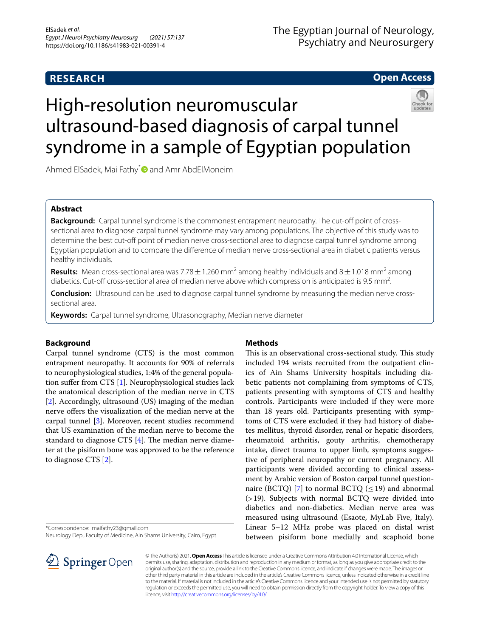# **RESEARCH**

# The Egyptian Journal of Neurology, Psychiatry and Neurosurgery

# **Open Access**

# High-resolution neuromuscular ultrasound-based diagnosis of carpal tunnel syndrome in a sample of Egyptian population

Ahmed ElSadek, Mai Fathy<sup>[\\*](http://orcid.org/0000-0001-7429-7802)</sup> and Amr AbdElMoneim

# **Abstract**

**Background:** Carpal tunnel syndrome is the commonest entrapment neuropathy. The cut-off point of crosssectional area to diagnose carpal tunnel syndrome may vary among populations. The objective of this study was to determine the best cut-off point of median nerve cross-sectional area to diagnose carpal tunnel syndrome among Egyptian population and to compare the diference of median nerve cross-sectional area in diabetic patients versus healthy individuals.

**Results:** Mean cross-sectional area was 7.78  $\pm$  1.260 mm<sup>2</sup> among healthy individuals and 8  $\pm$  1.018 mm<sup>2</sup> among diabetics. Cut-off cross-sectional area of median nerve above which compression is anticipated is 9.5 mm<sup>2</sup>. .

**Conclusion:** Ultrasound can be used to diagnose carpal tunnel syndrome by measuring the median nerve crosssectional area.

**Keywords:** Carpal tunnel syndrome, Ultrasonography, Median nerve diameter

# **Background**

Carpal tunnel syndrome (CTS) is the most common entrapment neuropathy. It accounts for 90% of referrals to neurophysiological studies, 1:4% of the general population sufer from CTS [\[1\]](#page-3-0). Neurophysiological studies lack the anatomical description of the median nerve in CTS [[2\]](#page-3-1). Accordingly, ultrasound (US) imaging of the median nerve offers the visualization of the median nerve at the carpal tunnel [\[3](#page-3-2)]. Moreover, recent studies recommend that US examination of the median nerve to become the standard to diagnose CTS  $[4]$  $[4]$  $[4]$ . The median nerve diameter at the pisiform bone was approved to be the reference to diagnose CTS [[2\]](#page-3-1).

\*Correspondence: maifathy23@gmail.com

Neurology Dep., Faculty of Medicine, Ain Shams University, Cairo, Egypt



# **Methods**

This is an observational cross-sectional study. This study included 194 wrists recruited from the outpatient clinics of Ain Shams University hospitals including diabetic patients not complaining from symptoms of CTS, patients presenting with symptoms of CTS and healthy controls. Participants were included if they were more than 18 years old. Participants presenting with symptoms of CTS were excluded if they had history of diabetes mellitus, thyroid disorder, renal or hepatic disorders, rheumatoid arthritis, gouty arthritis, chemotherapy intake, direct trauma to upper limb, symptoms suggestive of peripheral neuropathy or current pregnancy. All participants were divided according to clinical assessment by Arabic version of Boston carpal tunnel question-naire (BCTQ) [\[7](#page-3-4)] to normal BCTQ ( $\leq$  19) and abnormal (>19). Subjects with normal BCTQ were divided into diabetics and non-diabetics. Median nerve area was measured using ultrasound (Esaote, MyLab Five, Italy). Linear 5–12 MHz probe was placed on distal wrist between pisiform bone medially and scaphoid bone

© The Author(s) 2021. **Open Access** This article is licensed under a Creative Commons Attribution 4.0 International License, which permits use, sharing, adaptation, distribution and reproduction in any medium or format, as long as you give appropriate credit to the original author(s) and the source, provide a link to the Creative Commons licence, and indicate if changes were made. The images or other third party material in this article are included in the article's Creative Commons licence, unless indicated otherwise in a credit line to the material. If material is not included in the article's Creative Commons licence and your intended use is not permitted by statutory regulation or exceeds the permitted use, you will need to obtain permission directly from the copyright holder. To view a copy of this licence, visit [http://creativecommons.org/licenses/by/4.0/.](http://creativecommons.org/licenses/by/4.0/)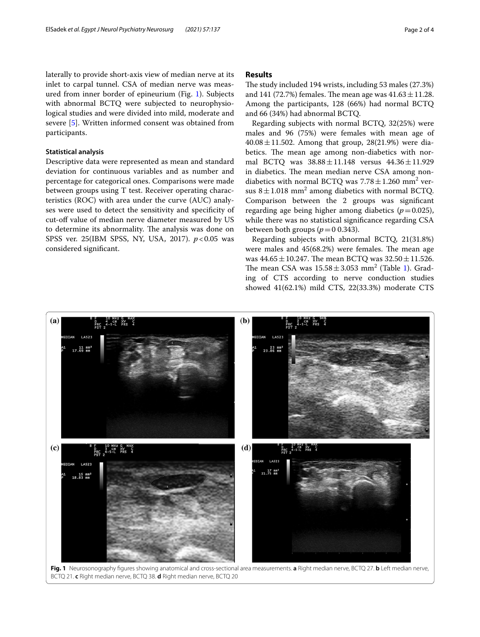laterally to provide short-axis view of median nerve at its inlet to carpal tunnel. CSA of median nerve was measured from inner border of epineurium (Fig. [1](#page-1-0)). Subjects with abnormal BCTQ were subjected to neurophysiological studies and were divided into mild, moderate and severe [[5](#page-3-5)]. Written informed consent was obtained from participants.

#### **Statistical analysis**

Descriptive data were represented as mean and standard deviation for continuous variables and as number and percentage for categorical ones. Comparisons were made between groups using T test. Receiver operating characteristics (ROC) with area under the curve (AUC) analyses were used to detect the sensitivity and specifcity of cut-off value of median nerve diameter measured by US to determine its abnormality. The analysis was done on SPSS ver. 25(IBM SPSS, NY, USA, 2017). *p*<0.05 was considered signifcant.

## **Results**

The study included 194 wrists, including 53 males (27.3%) and 141 (72.7%) females. The mean age was  $41.63 \pm 11.28$ . Among the participants, 128 (66%) had normal BCTQ and 66 (34%) had abnormal BCTQ.

Regarding subjects with normal BCTQ, 32(25%) were males and 96 (75%) were females with mean age of  $40.08 \pm 11.502$ . Among that group, 28(21.9%) were diabetics. The mean age among non-diabetics with normal BCTQ was 38.88±11.148 versus 44.36±11.929 in diabetics. The mean median nerve CSA among nondiabetics with normal BCTQ was  $7.78 \pm 1.260$  mm<sup>2</sup> versus  $8 \pm 1.018$  mm<sup>2</sup> among diabetics with normal BCTQ. Comparison between the 2 groups was signifcant regarding age being higher among diabetics  $(p=0.025)$ , while there was no statistical signifcance regarding CSA between both groups  $(p=0.343)$ .

Regarding subjects with abnormal BCTQ, 21(31.8%) were males and  $45(68.2%)$  were females. The mean age was  $44.65 \pm 10.247$ . The mean BCTQ was  $32.50 \pm 11.526$ . The mean CSA was  $15.58 \pm 3.053$  $15.58 \pm 3.053$  mm<sup>2</sup> (Table 1). Grading of CTS according to nerve conduction studies showed 41(62.1%) mild CTS, 22(33.3%) moderate CTS

<span id="page-1-0"></span>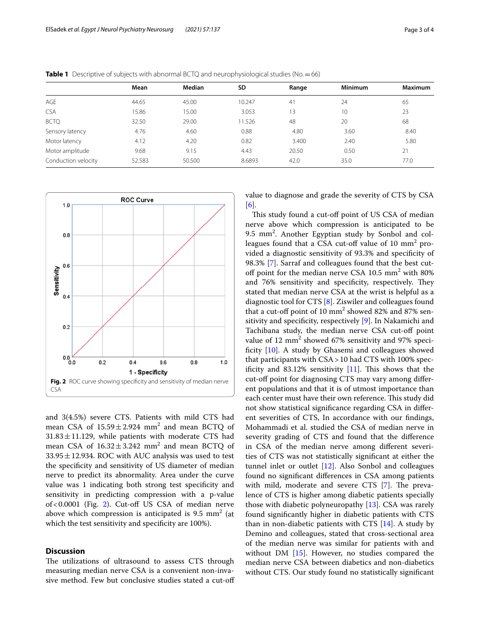|                     | Mean   | Median | SD     | Range | <b>Minimum</b> | <b>Maximum</b> |
|---------------------|--------|--------|--------|-------|----------------|----------------|
| AGE                 | 44.65  | 45.00  | 10.247 | 41    | 24             | 65             |
| <b>CSA</b>          | 15.86  | 15.00  | 3.053  | 13    | 10             | 23             |
| <b>BCTQ</b>         | 32.50  | 29.00  | 11.526 | 48    | 20             | 68             |
| Sensory latency     | 4.76   | 4.60   | 0.88   | 4.80  | 3.60           | 8.40           |
| Motor latency       | 4.12   | 4.20   | 0.82   | 3.400 | 2.40           | 5.80           |
| Motor amplitude     | 9.68   | 9.15   | 4.43   | 20.50 | 0.50           | 21             |
| Conduction velocity | 52.583 | 50.500 | 8.6893 | 42.0  | 35.0           | 77.0           |

<span id="page-2-0"></span>**Table 1** Descriptive of subjects with abnormal BCTQ and neurophysiological studies (No. = 66)



<span id="page-2-1"></span>and 3(4.5%) severe CTS. Patients with mild CTS had mean CSA of  $15.59 \pm 2.924$  mm<sup>2</sup> and mean BCTQ of  $31.83 \pm 11.129$ , while patients with moderate CTS had mean CSA of  $16.32 \pm 3.242$  mm<sup>2</sup> and mean BCTQ of  $33.95 \pm 12.934$ . ROC with AUC analysis was used to test the specifcity and sensitivity of US diameter of median nerve to predict its abnormality. Area under the curve value was 1 indicating both strong test specifcity and sensitivity in predicting compression with a p-value of < 0.0001 (Fig. [2\)](#page-2-1). Cut-off US CSA of median nerve above which compression is anticipated is 9.5  $\text{mm}^2$  (at which the test sensitivity and specificity are 100%).

## **Discussion**

The utilizations of ultrasound to assess CTS through measuring median nerve CSA is a convenient non-invasive method. Few but conclusive studies stated a cut-of value to diagnose and grade the severity of CTS by CSA [[6\]](#page-3-6).

This study found a cut-off point of US CSA of median nerve above which compression is anticipated to be 9.5 mm<sup>2</sup>. Another Egyptian study by Sonbol and colleagues found that a CSA cut-off value of  $10 \text{ mm}^2$  provided a diagnostic sensitivity of 93.3% and specifcity of 98.3% [[7\]](#page-3-4). Sarraf and colleagues found that the best cutoff point for the median nerve CSA  $10.5 \text{ mm}^2$  with 80% and 76% sensitivity and specificity, respectively. They stated that median nerve CSA at the wrist is helpful as a diagnostic tool for CTS [[8\]](#page-3-7). Ziswiler and colleagues found that a cut-off point of  $10 \text{ mm}^2$  showed 82% and 87% sen-sitivity and specificity, respectively [[9\]](#page-3-8). In Nakamichi and Tachibana study, the median nerve CSA cut-off point value of 12 mm<sup>2</sup> showed 67% sensitivity and 97% specificity  $[10]$ . A study by Ghasemi and colleagues showed that participants with CSA>10 had CTS with 100% specificity and 83.12% sensitivity  $[11]$  $[11]$ . This shows that the cut-of point for diagnosing CTS may vary among diferent populations and that it is of utmost importance than each center must have their own reference. This study did not show statistical signifcance regarding CSA in diferent severities of CTS, In accordance with our fndings, Mohammadi et al. studied the CSA of median nerve in severity grading of CTS and found that the diference in CSA of the median nerve among diferent severities of CTS was not statistically signifcant at either the tunnel inlet or outlet [\[12\]](#page-3-11). Also Sonbol and colleagues found no signifcant diferences in CSA among patients with mild, moderate and severe CTS  $[7]$  $[7]$ . The prevalence of CTS is higher among diabetic patients specially those with diabetic polyneuropathy [[13\]](#page-3-12). CSA was rarely found signifcantly higher in diabetic patients with CTS than in non-diabetic patients with CTS  $[14]$ . A study by Demino and colleagues, stated that cross-sectional area of the median nerve was similar for patients with and without DM [\[15](#page-3-14)]. However, no studies compared the median nerve CSA between diabetics and non-diabetics without CTS. Our study found no statistically signifcant